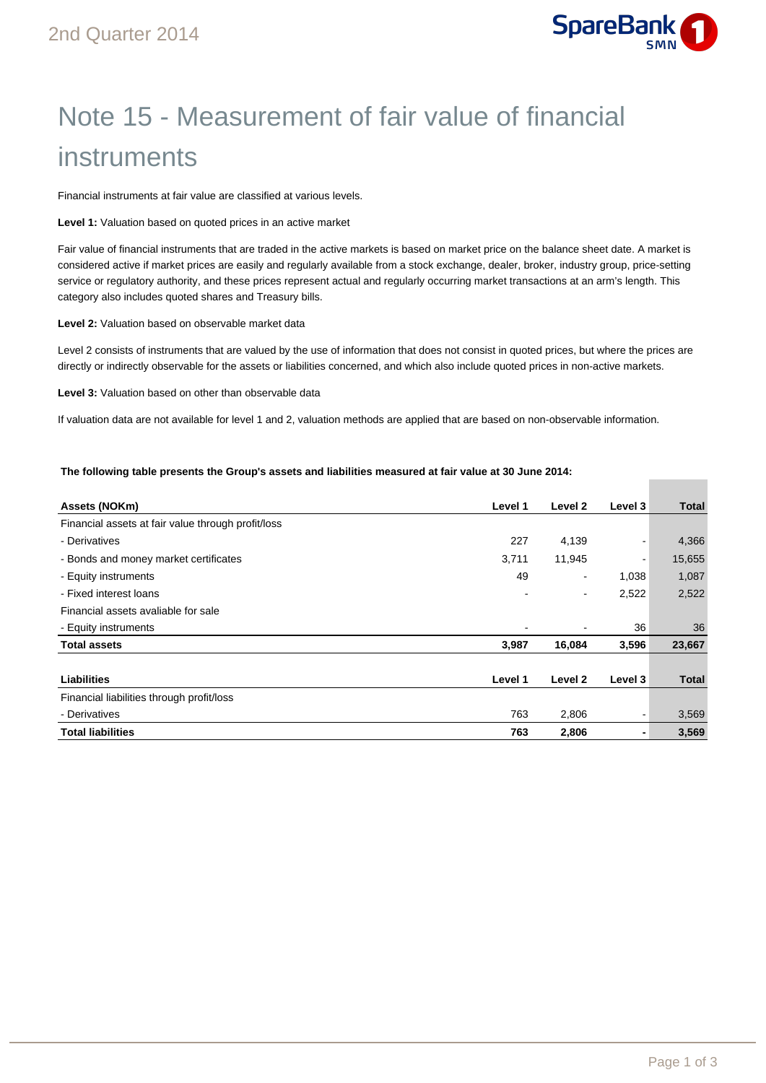

# Note 15 - Measurement of fair value of financial instruments

Financial instruments at fair value are classified at various levels.

**Level 1:** Valuation based on quoted prices in an active market

Fair value of financial instruments that are traded in the active markets is based on market price on the balance sheet date. A market is considered active if market prices are easily and regularly available from a stock exchange, dealer, broker, industry group, price-setting service or regulatory authority, and these prices represent actual and regularly occurring market transactions at an arm's length. This category also includes quoted shares and Treasury bills.

**Level 2:** Valuation based on observable market data

Level 2 consists of instruments that are valued by the use of information that does not consist in quoted prices, but where the prices are directly or indirectly observable for the assets or liabilities concerned, and which also include quoted prices in non-active markets.

**Level 3:** Valuation based on other than observable data

If valuation data are not available for level 1 and 2, valuation methods are applied that are based on non-observable information.

## **The following table presents the Group's assets and liabilities measured at fair value at 30 June 2014:**

| Assets (NOKm)                                      | Level 1 | Level 2        | Level 3 | Total  |
|----------------------------------------------------|---------|----------------|---------|--------|
| Financial assets at fair value through profit/loss |         |                |         |        |
| - Derivatives                                      | 227     | 4,139          |         | 4,366  |
| - Bonds and money market certificates              | 3,711   | 11,945         | ۰       | 15,655 |
| - Equity instruments                               | 49      | $\blacksquare$ | 1,038   | 1,087  |
| - Fixed interest loans                             |         | ٠              | 2,522   | 2,522  |
| Financial assets avaliable for sale                |         |                |         |        |
| - Equity instruments                               |         |                | 36      | 36     |
| <b>Total assets</b>                                | 3,987   | 16,084         | 3,596   | 23,667 |
|                                                    |         |                |         |        |
| <b>Liabilities</b>                                 | Level 1 | Level 2        | Level 3 | Total  |
| Financial liabilities through profit/loss          |         |                |         |        |
| - Derivatives                                      | 763     | 2,806          |         | 3,569  |
| <b>Total liabilities</b>                           | 763     | 2,806          |         | 3,569  |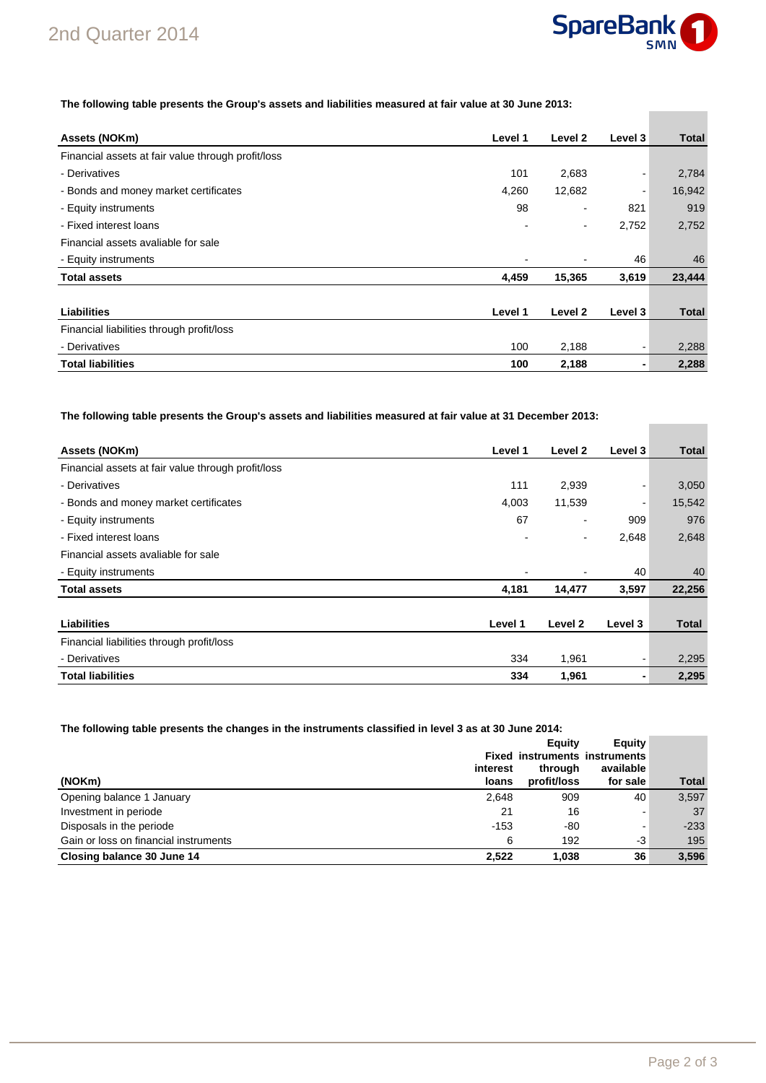

**College** 

## **The following table presents the Group's assets and liabilities measured at fair value at 30 June 2013:**

| Assets (NOKm)                                      | Level 1 | Level 2                  | Level 3 | <b>Total</b> |
|----------------------------------------------------|---------|--------------------------|---------|--------------|
| Financial assets at fair value through profit/loss |         |                          |         |              |
| - Derivatives                                      | 101     | 2,683                    |         | 2,784        |
| - Bonds and money market certificates              | 4,260   | 12,682                   |         | 16,942       |
| - Equity instruments                               | 98      | ٠                        | 821     | 919          |
| - Fixed interest loans                             |         | $\overline{\phantom{0}}$ | 2,752   | 2,752        |
| Financial assets avaliable for sale                |         |                          |         |              |
| - Equity instruments                               |         |                          | 46      | 46           |
| <b>Total assets</b>                                | 4,459   | 15,365                   | 3,619   | 23,444       |
|                                                    |         |                          |         |              |
| <b>Liabilities</b>                                 | Level 1 | Level 2                  | Level 3 | <b>Total</b> |
| Financial liabilities through profit/loss          |         |                          |         |              |
| - Derivatives                                      | 100     | 2,188                    |         | 2,288        |
| <b>Total liabilities</b>                           | 100     | 2,188                    |         | 2,288        |

**The following table presents the Group's assets and liabilities measured at fair value at 31 December 2013:** 

| Assets (NOKm)                                      | Level 1 | Level 2                  | Level 3 | <b>Total</b> |
|----------------------------------------------------|---------|--------------------------|---------|--------------|
| Financial assets at fair value through profit/loss |         |                          |         |              |
| - Derivatives                                      | 111     | 2,939                    |         | 3,050        |
| - Bonds and money market certificates              | 4,003   | 11,539                   | ۰       | 15,542       |
| - Equity instruments                               | 67      | $\overline{\phantom{a}}$ | 909     | 976          |
| - Fixed interest loans                             |         |                          | 2,648   | 2,648        |
| Financial assets avaliable for sale                |         |                          |         |              |
| - Equity instruments                               |         |                          | 40      | 40           |
| <b>Total assets</b>                                | 4,181   | 14,477                   | 3,597   | 22,256       |
|                                                    |         |                          |         |              |
| Liabilities                                        | Level 1 | Level 2                  | Level 3 | <b>Total</b> |
| Financial liabilities through profit/loss          |         |                          |         |              |
| - Derivatives                                      | 334     | 1,961                    |         | 2,295        |
| <b>Total liabilities</b>                           | 334     | 1,961                    | ٠       | 2,295        |

**The following table presents the changes in the instruments classified in level 3 as at 30 June 2014:** 

|                                       |                   | Equity                               | Equity                |              |
|---------------------------------------|-------------------|--------------------------------------|-----------------------|--------------|
|                                       |                   | <b>Fixed instruments instruments</b> |                       |              |
| (NOKm)                                | interest<br>loans | through<br>profit/loss               | available<br>for sale | <b>Total</b> |
| Opening balance 1 January             | 2,648             | 909                                  | 40                    | 3,597        |
| Investment in periode                 | 21                | 16                                   |                       | 37           |
| Disposals in the periode              | $-153$            | -80                                  | -                     | $-233$       |
| Gain or loss on financial instruments | 6                 | 192                                  | -3                    | 195          |
| Closing balance 30 June 14            | 2,522             | 1.038                                | 36                    | 3,596        |